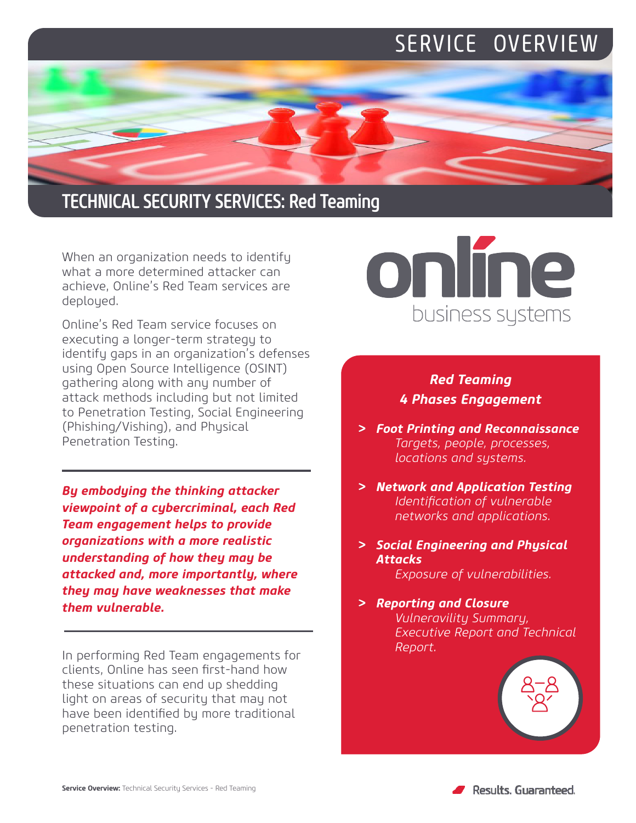## SERVICE OVERVIEW



When an organization needs to identify what a more determined attacker can achieve, Online's Red Team services are deployed.

Online's Red Team service focuses on executing a longer-term strategy to identify gaps in an organization's defenses using Open Source Intelligence (OSINT) gathering along with any number of attack methods including but not limited to Penetration Testing, Social Engineering (Phishing/Vishing), and Physical Penetration Testing.

*By embodying the thinking attacker viewpoint of a cybercriminal, each Red Team engagement helps to provide organizations with a more realistic understanding of how they may be attacked and, more importantly, where they may have weaknesses that make them vulnerable.*

In performing Red Team engagements for clients, Online has seen first-hand how these situations can end up shedding light on areas of security that may not have been identified by more traditional penetration testing.



### *Red Teaming 4 Phases Engagement*

- *> Foot Printing and Reconnaissance Targets, people, processes, locations and systems.*
- *> Network and Application Testing Identification of vulnerable networks and applications.*
- *> Social Engineering and Physical Attacks Exposure of vulnerabilities.*
- *> Reporting and Closure Vulneravility Summary, Executive Report and Technical Report.*